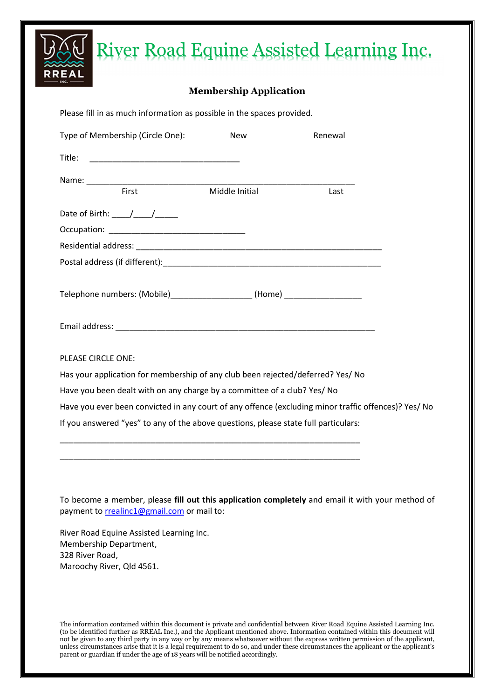# River Road Equine Assisted Learning Inc.

### **Membership Application**

| Please fill in as much information as possible in the spaces provided.              |                |                                                                                                      |
|-------------------------------------------------------------------------------------|----------------|------------------------------------------------------------------------------------------------------|
| Type of Membership (Circle One):                                                    | <b>New</b>     | Renewal                                                                                              |
|                                                                                     |                |                                                                                                      |
|                                                                                     |                |                                                                                                      |
| First                                                                               | Middle Initial | Last                                                                                                 |
| Date of Birth: $\frac{\mu}{\mu}$                                                    |                |                                                                                                      |
|                                                                                     |                |                                                                                                      |
|                                                                                     |                |                                                                                                      |
|                                                                                     |                |                                                                                                      |
|                                                                                     |                |                                                                                                      |
| Telephone numbers: (Mobile)____________________(Home) __________________________    |                |                                                                                                      |
|                                                                                     |                |                                                                                                      |
|                                                                                     |                |                                                                                                      |
|                                                                                     |                |                                                                                                      |
| PLEASE CIRCLE ONE:                                                                  |                |                                                                                                      |
| Has your application for membership of any club been rejected/deferred? Yes/ No     |                |                                                                                                      |
| Have you been dealt with on any charge by a committee of a club? Yes/ No            |                |                                                                                                      |
|                                                                                     |                | Have you ever been convicted in any court of any offence (excluding minor traffic offences)? Yes/ No |
| If you answered "yes" to any of the above questions, please state full particulars: |                |                                                                                                      |
|                                                                                     |                |                                                                                                      |

To become a member, please **fill out this application completely** and email it with your method of payment to rrealinc1@gmail.com or mail to:

\_\_\_\_\_\_\_\_\_\_\_\_\_\_\_\_\_\_\_\_\_\_\_\_\_\_\_\_\_\_\_\_\_\_\_\_\_\_\_\_\_\_\_\_\_\_\_\_\_\_\_\_\_\_\_\_\_\_\_\_\_\_\_\_\_\_

River Road Equine Assisted Learning Inc. Membership Department, 328 River Road, Maroochy River, Qld 4561.

The information contained within this document is private and confidential between River Road Equine Assisted Learning Inc. (to be identified further as RREAL Inc.), and the Applicant mentioned above. Information contained within this document will not be given to any third party in any way or by any means whatsoever without the express written permission of the applicant, unless circumstances arise that it is a legal requirement to do so, and under these circumstances the applicant or the applicant's parent or guardian if under the age of 18 years will be notified accordingly.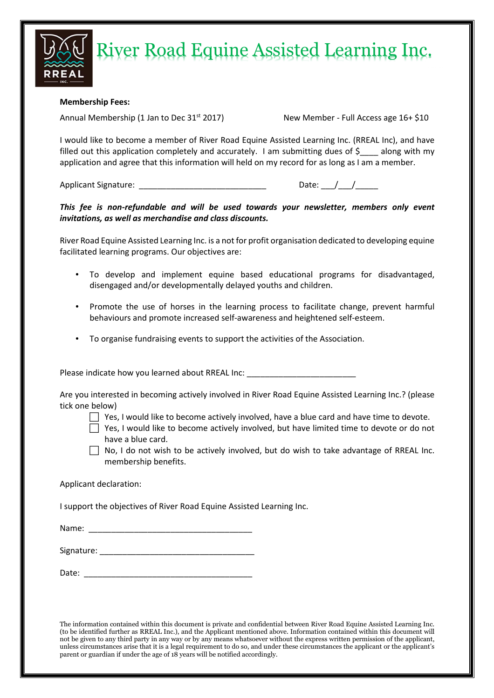

## River Road Equine Assisted Learning Inc.

### **Membership Fees:**

Annual Membership (1 Jan to Dec 31<sup>st</sup> 2017) New Member - Full Access age 16+ \$10

I would like to become a member of River Road Equine Assisted Learning Inc. (RREAL Inc), and have filled out this application completely and accurately. I am submitting dues of  $\zeta$  along with my application and agree that this information will held on my record for as long as I am a member.

Applicant Signature: \_\_\_\_\_\_\_\_\_\_\_\_\_\_\_\_\_\_\_\_\_\_\_\_\_\_\_\_ Date: \_\_\_/\_\_\_/\_\_\_\_\_

*This fee is non-refundable and will be used towards your newsletter, members only event invitations, as well as merchandise and class discounts.* 

River Road Equine Assisted Learning Inc. is a not for profit organisation dedicated to developing equine facilitated learning programs. Our objectives are:

- To develop and implement equine based educational programs for disadvantaged, disengaged and/or developmentally delayed youths and children.
- Promote the use of horses in the learning process to facilitate change, prevent harmful behaviours and promote increased self-awareness and heightened self-esteem.
- To organise fundraising events to support the activities of the Association.

Please indicate how you learned about RREAL Inc: \_\_\_\_\_\_\_\_\_\_\_\_\_\_\_\_\_\_\_\_\_\_\_\_\_\_\_\_\_\_\_

Are you interested in becoming actively involved in River Road Equine Assisted Learning Inc.? (please tick one below)

- $\Box$  Yes, I would like to become actively involved, have a blue card and have time to devote.
- $\Box$  Yes, I would like to become actively involved, but have limited time to devote or do not have a blue card.
- $\Box$  No, I do not wish to be actively involved, but do wish to take advantage of RREAL Inc. membership benefits.

Applicant declaration:

I support the objectives of River Road Equine Assisted Learning Inc.

Name: \_\_\_\_\_\_\_\_\_\_\_\_\_\_\_\_\_\_\_\_\_\_\_\_\_\_\_\_\_\_\_\_\_\_\_\_

| Signature: |  |  |  |
|------------|--|--|--|
|            |  |  |  |

Date: \_\_\_\_\_\_\_\_\_\_\_\_\_\_\_\_\_\_\_\_\_\_\_\_\_\_\_\_\_\_\_\_\_\_\_\_\_

The information contained within this document is private and confidential between River Road Equine Assisted Learning Inc. (to be identified further as RREAL Inc.), and the Applicant mentioned above. Information contained within this document will not be given to any third party in any way or by any means whatsoever without the express written permission of the applicant, unless circumstances arise that it is a legal requirement to do so, and under these circumstances the applicant or the applicant's parent or guardian if under the age of 18 years will be notified accordingly.